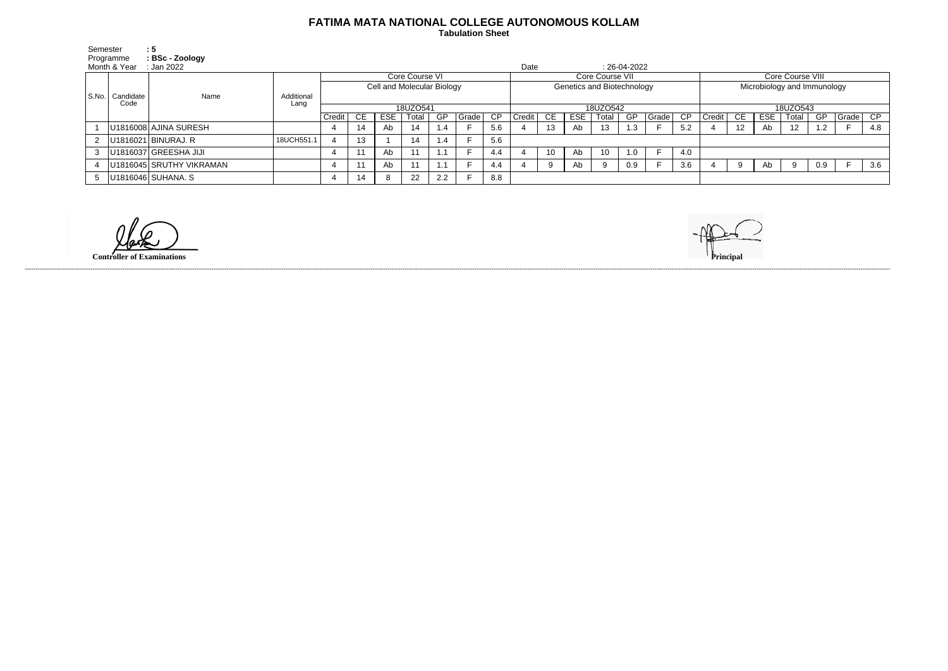## **FATIMA MATA NATIONAL COLLEGE AUTONOMOUS KOLLAM**

 **Tabulation Sheet** 

| Semester<br>Programme<br>Month & Year |                           | :5<br>: BSc - Zoology<br>: Jan 2022 |                    |                            |    |            |       |     |       |                 | Date                       |     |            |       | $: 26-04-2022$ |          |     |                             |                   |            |       |     |       |     |
|---------------------------------------|---------------------------|-------------------------------------|--------------------|----------------------------|----|------------|-------|-----|-------|-----------------|----------------------------|-----|------------|-------|----------------|----------|-----|-----------------------------|-------------------|------------|-------|-----|-------|-----|
|                                       | S.No.   Candidate<br>Code | Name                                |                    | Core Course VI             |    |            |       |     |       |                 | Core Course VII            |     |            |       |                |          |     | Core Course VIII            |                   |            |       |     |       |     |
|                                       |                           |                                     | Additional<br>Lang | Cell and Molecular Biology |    |            |       |     |       |                 | Genetics and Biotechnology |     |            |       |                |          |     | Microbiology and Immunology |                   |            |       |     |       |     |
|                                       |                           |                                     |                    | 18UZO541                   |    |            |       |     |       | 18UZO542        |                            |     |            |       |                | 18UZO543 |     |                             |                   |            |       |     |       |     |
|                                       |                           |                                     |                    | Credit                     | CE | <b>ESE</b> | Total | GP  | Grade | $\overline{CP}$ | Credit                     | CE. | <b>ESE</b> | Total | GP             | Grade    | CP  | Credit                      | - CE              | <b>ESE</b> | Total | GP  | Grade | CP  |
|                                       |                           | U1816008 AJINA SURESH               |                    |                            | 14 | Ab         | 14    | 1.4 |       | 5.6             |                            | 13  | Ab         | 13    | $\cdot$ 3      |          | 5.2 |                             | $12 \overline{ }$ | Ab         | 12    | 1.2 |       | 4.8 |
| $\mathbf{2}^{\circ}$                  |                           | U1816021 BINURAJ. R                 | 18UCH551.          |                            | 13 |            | 14    | 1.4 |       | 5.6             |                            |     |            |       |                |          |     |                             |                   |            |       |     |       |     |
|                                       |                           | U1816037 GREESHA JIJI               |                    |                            |    | Ab         | $-11$ |     |       | 4.4             |                            | 10  | Ab         | 10    | 1.0            |          | 4.0 |                             |                   |            |       |     |       |     |
|                                       |                           | U1816045 SRUTHY VIKRAMAN            |                    |                            |    | Ab         |       |     |       | 4.4             |                            |     | Ab         | 9     | 0.9            |          | 3.6 |                             |                   | Ab         | 9     | 0.9 |       | 3.6 |
| 5                                     |                           | U1816046 SUHANA. S                  |                    |                            | 14 | o          | 22    | 2.2 |       | 8.8             |                            |     |            |       |                |          |     |                             |                   |            |       |     |       |     |

**Controller of Examinations Principal**



------------------------------------------------------------------------------------------------------------------------------------------------------------------------------------------------------------------------------------------------------------------------------------------------------------------------------------------------------------------------------------------------------------------------